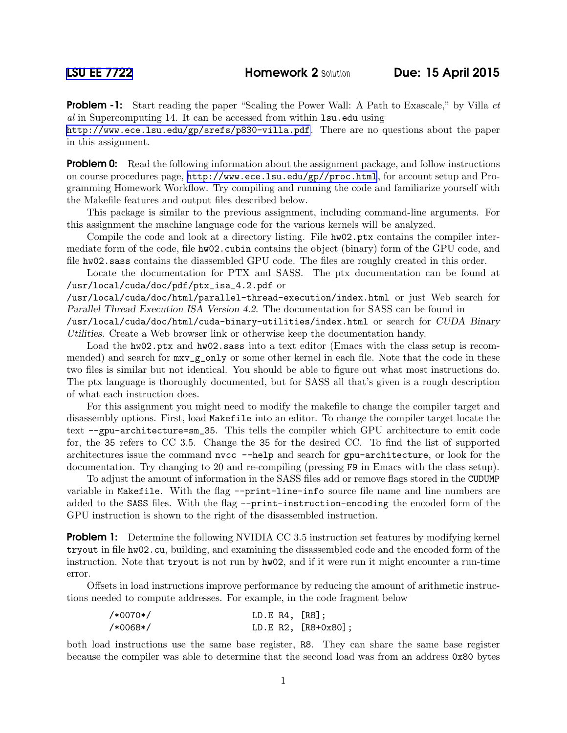**Problem -1:** Start reading the paper "Scaling the Power Wall: A Path to Exascale," by Villa *et* al in Supercomputing 14. It can be accessed from within lsu.edu using

<http://www.ece.lsu.edu/gp/srefs/p830-villa.pdf>. There are no questions about the paper in this assignment.

**Problem 0:** Read the following information about the assignment package, and follow instructions on course procedures page, <http://www.ece.lsu.edu/gp//proc.html>, for account setup and Programming Homework Workflow. Try compiling and running the code and familiarize yourself with the Makefile features and output files described below.

This package is similar to the previous assignment, including command-line arguments. For this assignment the machine language code for the various kernels will be analyzed.

Compile the code and look at a directory listing. File  $h\text{w02.}$  ptx contains the compiler intermediate form of the code, file hw02.cubin contains the object (binary) form of the GPU code, and file hw02.sass contains the diassembled GPU code. The files are roughly created in this order.

Locate the documentation for PTX and SASS. The ptx documentation can be found at /usr/local/cuda/doc/pdf/ptx\_isa\_4.2.pdf or

/usr/local/cuda/doc/html/parallel-thread-execution/index.html or just Web search for Parallel Thread Execution ISA Version 4.2. The documentation for SASS can be found in

/usr/local/cuda/doc/html/cuda-binary-utilities/index.html or search for CUDA Binary Utilities. Create a Web browser link or otherwise keep the documentation handy.

Load the hw02.ptx and hw02.sass into a text editor (Emacs with the class setup is recommended) and search for  $mxv_{g}$ -gonly or some other kernel in each file. Note that the code in these two files is similar but not identical. You should be able to figure out what most instructions do. The ptx language is thoroughly documented, but for SASS all that's given is a rough description of what each instruction does.

For this assignment you might need to modify the makefile to change the compiler target and disassembly options. First, load Makefile into an editor. To change the compiler target locate the text --gpu-architecture=sm\_35. This tells the compiler which GPU architecture to emit code for, the 35 refers to CC 3.5. Change the 35 for the desired CC. To find the list of supported architectures issue the command nvcc --help and search for gpu-architecture, or look for the documentation. Try changing to 20 and re-compiling (pressing F9 in Emacs with the class setup).

To adjust the amount of information in the SASS files add or remove flags stored in the CUDUMP variable in Makefile. With the flag --print-line-info source file name and line numbers are added to the SASS files. With the flag --print-instruction-encoding the encoded form of the GPU instruction is shown to the right of the disassembled instruction.

**Problem 1:** Determine the following NVIDIA CC 3.5 instruction set features by modifying kernel tryout in file hw02.cu, building, and examining the disassembled code and the encoded form of the instruction. Note that tryout is not run by hw02, and if it were run it might encounter a run-time error.

Offsets in load instructions improve performance by reducing the amount of arithmetic instructions needed to compute addresses. For example, in the code fragment below

| $/*0070*/$ | LD.E $R4$ , $[R8]$ ; |                       |
|------------|----------------------|-----------------------|
| /*0068*/   |                      | $LD.E R2, [R8+0x80];$ |

both load instructions use the same base register, R8. They can share the same base register because the compiler was able to determine that the second load was from an address 0x80 bytes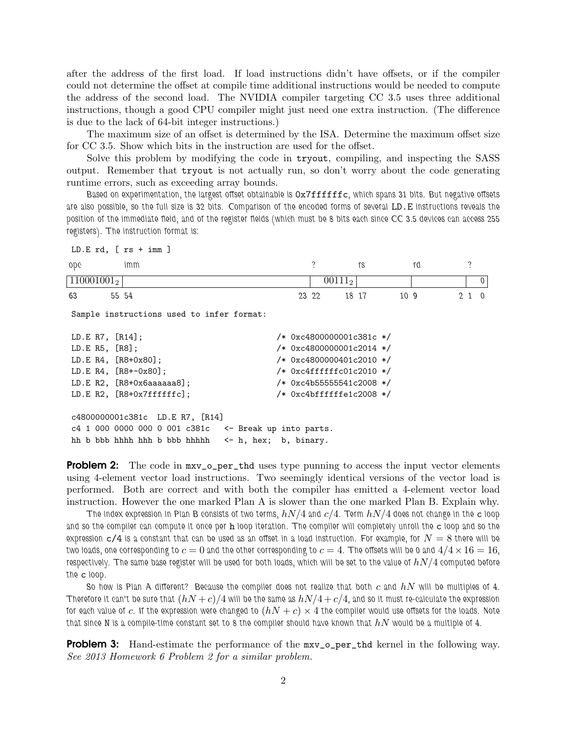after the address of the first load. If load instructions didn't have offsets, or if the compiler could not determine the offset at compile time additional instructions would be needed to compute the address of the second load. The NVIDIA compiler targeting CC 3.5 uses three additional instructions, though a good CPU compiler might just need one extra instruction. (The difference is due to the lack of 64-bit integer instructions.)

The maximum size of an offset is determined by the ISA. Determine the maximum offset size for CC 3.5. Show which bits in the instruction are used for the offset.

Solve this problem by modifying the code in tryout, compiling, and inspecting the SASS output. Remember that tryout is not actually run, so don't worry about the code generating runtime errors, such as exceeding array bounds.

*Based on experimentation, the largest offset obtainable is* 0x7ffffffc*, which spans 31 bits. But negative offsets are also possible, so the full size is 32 bits. Comparison of the encoded forms of several* LD.E *instructions reveals the position of the immediate field, and of the register fields (which must be 8 bits each since CC 3.5 devices can access 255 registers). The instruction format is:*

```
LD.E rd, [ rs + imm ]
opc
110001001<sub>2</sub>
63 55
        imm
         54 23
                                       ?
                                         00111_222 18
                                              rs
                                                     17 10
                                                       rd
                                                       9 2
                                                                ?
                                                                  0
                                                              1 0
Sample instructions used to infer format:
LD.E R7, [R14]; /* 0xc4800000001c381c */LD.E R5, [R8]; /* 0xc4800000001c2014 */
LD.E R4, [R8+0x80]; \frac{1}{8} /* 0xc4800000401c2010 */
LD.E R4, [R8+-0x80]; / /* 0xc4ffffffc01c2010 */
LD.E R2, [R8+0x6aaaaaa8]; /* 0xc4b55555541c2008 */
LD.E R2, [R8+0x7ffffffc]; /* 0xc4bffffffe1c2008 */
c4800000001c381c LD.E R7, [R14]
c4 1 000 0000 000 0 001 c381c <- Break up into parts.
```
**Problem 2:** The code in  $mxv$ <sub>-</sub> per\_thd uses type punning to access the input vector elements using 4-element vector load instructions. Two seemingly identical versions of the vector load is performed. Both are correct and with both the compiler has emitted a 4-element vector load instruction. However the one marked Plan A is slower than the one marked Plan B. Explain why.

hh b bbb hhhh hhh b bbb hhhhh <- h, hex; b, binary.

*The index expression in Plan B consists of two terms,* hN/4 *and* c/4*. Term* hN/4 *does not change in the* c *loop and so the compiler can compute it once per* h *loop iteration. The compiler will completely unroll the* c *loop and so the* expression  $c/4$  is a constant that can be used as an offset in a load instruction. For example, for  $N = 8$  there will be *two loads, one corresponding to*  $c = 0$  and the other corresponding to  $c = 4$ . The offsets will be 0 and  $4/4 \times 16 = 16$ , *respectively. The same base register will be used for both loads, which will be set to the value of*  $hN/4$  *computed before the* c *loop.*

So how is Plan A different? Because the compiler does not realize that both c and  $hN$  will be multiples of 4. *Therefore it can't be sure that*  $(hN + c)/4$  will be the same as  $hN/4 + c/4$ , and so it must re-calculate the expression *for each value of c. If the expression were changed to*  $(hN + c) \times 4$  *the compiler would use offsets for the loads. Note*  $t$ hat since  $N$  is a compile-time constant set to 8 the compiler should have known that  $hN$  would be a multiple of 4.

**Problem 3:** Hand-estimate the performance of the  $m \times v$ -per\_thd kernel in the following way. See 2013 Homework 6 Problem 2 for a similar problem.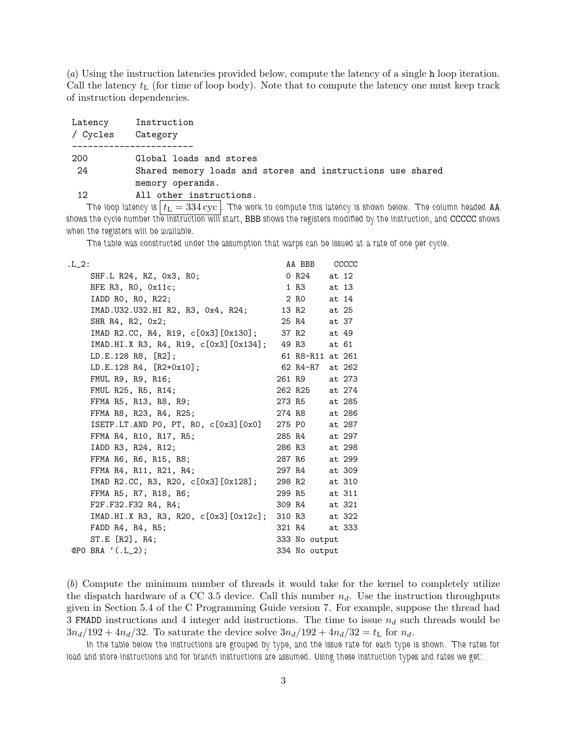(a) Using the instruction latencies provided below, compute the latency of a single h loop iteration. Call the latency  $t_L$  (for time of loop body). Note that to compute the latency one must keep track of instruction dependencies.

| Latency<br>/ Cycles | Instruction<br>Category                                    |
|---------------------|------------------------------------------------------------|
|                     |                                                            |
| 200                 | Global loads and stores                                    |
| -24                 | Shared memory loads and stores and instructions use shared |
|                     | memory operands.                                           |
| 12.                 | All other instructions.                                    |

 $\tau$ he loop latency is  $\vert t_{\rm L} = 334 \, \rm{cyc} \, \vert$ . The work to compute this latency is shown below. The column headed <code>AA</code> *shows the cycle number the instruction will start,* BBB *shows the registers modified by the instruction, and* CCCCC *shows when the registers will be available.*

*The table was constructed under the assumption that warps can be issued at a rate of one per cycle.*

| $.L_2$ :                                           |        | AA BBB CCCCC     |        |
|----------------------------------------------------|--------|------------------|--------|
| SHF.L R24, RZ, 0x3, RO;                            |        | 0 R24 at 12      |        |
| BFE $R3$ , $R0$ , $0x11c$ ;                        | 1 R3   |                  | at 13  |
| IADD RO, RO, R22;                                  |        | 2 R0 at 14       |        |
| IMAD.U32.U32.HI R2, R3, 0x4, R24;                  |        | 13 R2 at 25      |        |
| SHR R4, R2, 0x2;                                   |        | 25 R4 at 37      |        |
| IMAD R2.CC, R4, R19, c[0x3][0x130];                |        | 37 R2 at 49      |        |
| IMAD.HI.X R3, R4, R19, c[0x3] [0x134]; 49 R3 at 61 |        |                  |        |
| LD.E.128 R8, [R2];                                 |        | 61 R8-R11 at 261 |        |
| LD.E.128 R4, [R2+0x10];                            |        | 62 R4-R7 at 262  |        |
| FMUL R9, R9, R16;                                  |        | 261 R9 at 273    |        |
| FMUL R25, R5, R14;                                 |        | 262 R25 at 274   |        |
| FFMA R5, R13, R8, R9;                              |        | 273 R5 at 285    |        |
| FFMA R8, R23, R4, R25;                             |        | 274 R8 at 286    |        |
| ISETP.LT.AND PO, PT, RO, $c[0x3][0x0]$             | 275 PO |                  | at 287 |
| FFMA R4, R10, R17, R5;                             | 285 R4 |                  | at 297 |
| IADD R3, R24, R12;                                 | 286 R3 |                  | at 298 |
| FFMA R6, R6, R15, R8;                              | 287 R6 |                  | at 299 |
| FFMA R4, R11, R21, R4;                             | 297 R4 |                  | at 309 |
| IMAD R2.CC, R3, R20, c[0x3][0x128];                |        | 298 R2 at 310    |        |
| FFMA R5, R7, R18, R6;                              | 299 R5 |                  | at 311 |
| F2F.F32.F32 R4, R4;                                | 309 R4 |                  | at 321 |
| IMAD.HI.X R3, R3, R20, c[0x3][0x12c];              | 310 R3 |                  | at 322 |
| FADD R4, R4, R5;                                   | 321 R4 |                  | at 333 |
| ST.E [R2], R4;                                     |        | 333 No output    |        |
| @PO BRA '(.L_2);                                   |        | 334 No output    |        |

(b) Compute the minimum number of threads it would take for the kernel to completely utilize the dispatch hardware of a CC 3.5 device. Call this number  $n_d$ . Use the instruction throughputs given in Section 5.4 of the C Programming Guide version 7. For example, suppose the thread had 3 FMADD instructions and 4 integer add instructions. The time to issue  $n_d$  such threads would be  $3n_d/192 + 4n_d/32$ . To saturate the device solve  $3n_d/192 + 4n_d/32 = t_L$  for  $n_d$ .

*In the table below the instructions are grouped by type, and the issue rate for each type is shown. The rates for load and store instructions and for branch instructions are assumed. Using these instruction types and rates we get:*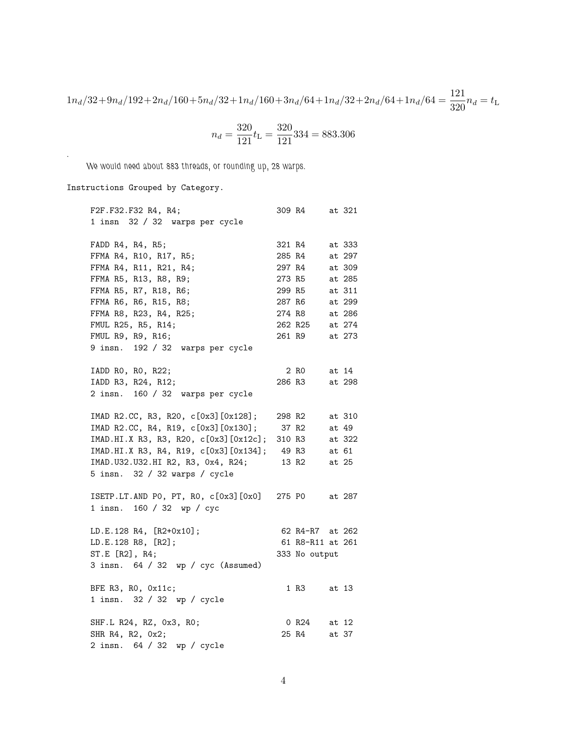$1n_d/32+9n_d/192+2n_d/160+5n_d/32+1n_d/160+3n_d/64+1n_d/32+2n_d/64+1n_d/64 = \frac{121}{320}n_d = t_L$ 

$$
n_d = \frac{320}{121} t_{\rm L} = \frac{320}{121} 334 = 883.306
$$

*We would need about 883 threads, or rounding up, 28 warps.*

Instructions Grouped by Category.

*.*

| F2F.F32.F32 R4, R4;                                |        | 309 R4 at 321     |       |        |
|----------------------------------------------------|--------|-------------------|-------|--------|
| 1 insn 32 / 32 warps per cycle                     |        |                   |       |        |
|                                                    |        |                   |       |        |
| FADD R4, R4, R5;                                   | 321 R4 |                   |       | at 333 |
| FFMA R4, R10, R17, R5;                             | 285 R4 |                   |       | at 297 |
| FFMA R4, R11, R21, R4;                             |        | 297 R4            |       | at 309 |
| FFMA R5, R13, R8, R9;                              | 273 R5 |                   |       | at 285 |
| FFMA R5, R7, R18, R6;                              | 299 R5 |                   |       | at 311 |
| FFMA R6, R6, R15, R8;                              | 287 R6 |                   |       | at 299 |
| FFMA R8, R23, R4, R25;                             | 274 R8 |                   |       | at 286 |
| FMUL R25, R5, R14;                                 |        | 262 R25           |       | at 274 |
| FMUL R9, R9, R16;                                  |        | 261 R9            |       | at 273 |
| 9 insn. 192 / 32 warps per cycle                   |        |                   |       |        |
| IADD RO, RO, R22;                                  |        | 2 RO              |       | at 14  |
| IADD R3, R24, R12;                                 |        | 286 R3            |       | at 298 |
| 2 insn. 160 / 32 warps per cycle                   |        |                   |       |        |
|                                                    |        |                   |       |        |
| IMAD R2.CC, R3, R20, c[0x3][0x128]; 298 R2         |        |                   |       | at 310 |
| IMAD R2.CC, R4, R19, c[0x3][0x130]; 37 R2          |        |                   |       | at 49  |
| IMAD.HI.X R3, R3, R20, c[0x3][0x12c]; 310 R3       |        |                   |       | at 322 |
| IMAD.HI.X R3, R4, R19, c[0x3][0x134]; 49 R3        |        |                   |       | at 61  |
| IMAD. U32. U32. HI R2, R3, Ox4, R24;               |        | 13 R <sub>2</sub> |       | at 25  |
| 5 insn. 32 / 32 warps / cycle                      |        |                   |       |        |
|                                                    |        |                   |       |        |
| ISETP.LT.AND PO, PT, RO, c[0x3][0x0] 275 PO at 287 |        |                   |       |        |
| 1 insn. 160 / 32 wp / cyc                          |        |                   |       |        |
|                                                    |        | 62 R4-R7 at 262   |       |        |
| LD.E.128 R4, [R2+0x10];                            |        |                   |       |        |
| LD.E.128 R8, [R2];                                 |        | 61 R8-R11 at 261  |       |        |
| ST.E [R2], R4;                                     |        | 333 No output     |       |        |
| 3 insn. 64 / 32 wp / cyc (Assumed)                 |        |                   |       |        |
| BFE R3, R0, Ox11c;                                 |        | 1 R3 at 13        |       |        |
| 1 insn. 32 / 32 wp / cycle                         |        |                   |       |        |
|                                                    |        |                   |       |        |
| SHF.L R24, RZ, 0x3, R0;                            |        | 0 R24 at 12       |       |        |
| SHR R4, R2, 0x2;                                   |        | 25 R4             | at 37 |        |
| 2 insn. 64 / 32 wp / cycle                         |        |                   |       |        |